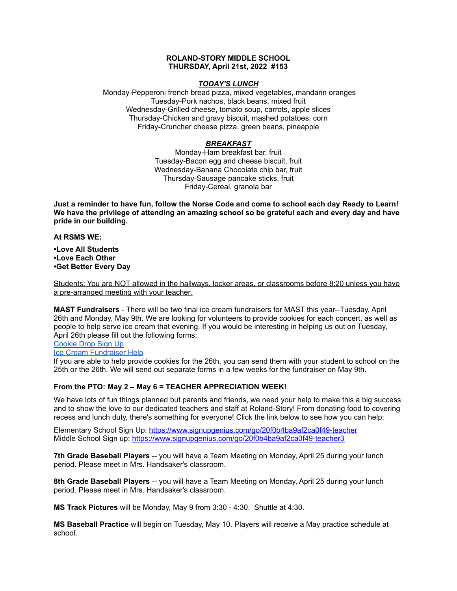#### **ROLAND-STORY MIDDLE SCHOOL THURSDAY, April 21st, 2022 #153**

#### *TODAY'S LUNCH*

Monday-Pepperoni french bread pizza, mixed vegetables, mandarin oranges Tuesday-Pork nachos, black beans, mixed fruit Wednesday-Grilled cheese, tomato soup, carrots, apple slices Thursday-Chicken and gravy biscuit, mashed potatoes, corn Friday-Cruncher cheese pizza, green beans, pineapple

### *BREAKFAST*

Monday-Ham breakfast bar, fruit Tuesday-Bacon egg and cheese biscuit, fruit Wednesday-Banana Chocolate chip bar, fruit Thursday-Sausage pancake sticks, fruit Friday-Cereal, granola bar

Just a reminder to have fun, follow the Norse Code and come to school each day Ready to Learn! **We have the privilege of attending an amazing school so be grateful each and every day and have pride in our building.**

**At RSMS WE:**

**•Love All Students •Love Each Other •Get Better Every Day**

Students: You are NOT allowed in the hallways, locker areas, or classrooms before 8:20 unless you have a pre-arranged meeting with your teacher.

**MAST Fundraisers** - There will be two final ice cream fundraisers for MAST this year--Tuesday, April 26th and Monday, May 9th. We are looking for volunteers to provide cookies for each concert, as well as people to help serve ice cream that evening. If you would be interesting in helping us out on Tuesday, April 26th please fill out the following forms:

[Cookie](https://www.signupgenius.com/go/4090c45acac2ba31-rsmast2) Drop Sign Up

Ice Cream [Fundraiser](https://www.signupgenius.com/go/4090c45acac2ba31-rsmast3) Help

If you are able to help provide cookies for the 26th, you can send them with your student to school on the 25th or the 26th. We will send out separate forms in a few weeks for the fundraiser on May 9th.

#### **From the PTO: May 2 – May 6 = TEACHER APPRECIATION WEEK!**

We have lots of fun things planned but parents and friends, we need your help to make this a big success and to show the love to our dedicated teachers and staff at Roland-Story! From donating food to covering recess and lunch duty, there's something for everyone! Click the link below to see how you can help:

Elementary School Sign Up: <https://www.signupgenius.com/go/20f0b4ba9af2ca0f49-teacher> Middle School Sign up: <https://www.signupgenius.com/go/20f0b4ba9af2ca0f49-teacher3>

**7th Grade Baseball Players** -- you will have a Team Meeting on Monday, April 25 during your lunch period. Please meet in Mrs. Handsaker's classroom.

**8th Grade Baseball Players** -- you will have a Team Meeting on Monday, April 25 during your lunch period. Please meet in Mrs. Handsaker's classroom.

**MS Track Pictures** will be Monday, May 9 from 3:30 - 4:30. Shuttle at 4:30.

**MS Baseball Practice** will begin on Tuesday, May 10. Players will receive a May practice schedule at school.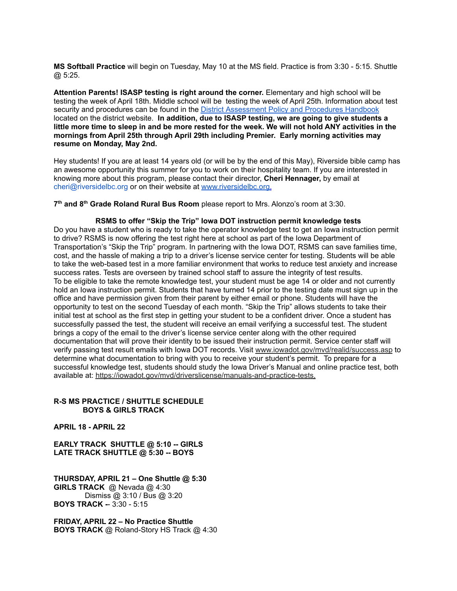**MS Softball Practice** will begin on Tuesday, May 10 at the MS field. Practice is from 3:30 - 5:15. Shuttle @ 5:25.

**Attention Parents! ISASP testing is right around the corner.** Elementary and high school will be testing the week of April 18th. Middle school will be testing the week of April 25th. Information about test security and procedures can be found in the District [Assessment](https://rolandstory.school/media/Michelle%20Soderstrum/RSCSD_District_Assessment_Poli%20-%20Copy%203.pdf) Policy and Procedures Handbook located on the district website. **In addition, due to ISASP testing, we are going to give students a** little more time to sleep in and be more rested for the week. We will not hold ANY activities in the **mornings from April 25th through April 29th including Premier. Early morning activities may resume on Monday, May 2nd.**

Hey students! If you are at least 14 years old (or will be by the end of this May), Riverside bible camp has an awesome opportunity this summer for you to work on their hospitality team. If you are interested in knowing more about this program, please contact their director, **Cheri Hennager,** by email at cheri@riversidelbc.org or on their website at [www.riversidelbc.org.](http://www.riversidelbc.org/)

**7 th and 8 th Grade Roland Rural Bus Room** please report to Mrs. Alonzo's room at 3:30.

**RSMS to offer "Skip the Trip" Iowa DOT instruction permit knowledge tests** Do you have a student who is ready to take the operator knowledge test to get an Iowa instruction permit to drive? RSMS is now offering the test right here at school as part of the Iowa Department of Transportation's "Skip the Trip" program. In partnering with the Iowa DOT, RSMS can save families time, cost, and the hassle of making a trip to a driver's license service center for testing. Students will be able to take the web-based test in a more familiar environment that works to reduce test anxiety and increase success rates. Tests are overseen by trained school staff to assure the integrity of test results. To be eligible to take the remote knowledge test, your student must be age 14 or older and not currently hold an Iowa instruction permit. Students that have turned 14 prior to the testing date must sign up in the office and have permission given from their parent by either email or phone. Students will have the opportunity to test on the second Tuesday of each month. "Skip the Trip" allows students to take their initial test at school as the first step in getting your student to be a confident driver. Once a student has successfully passed the test, the student will receive an email verifying a successful test. The student brings a copy of the email to the driver's license service center along with the other required documentation that will prove their identity to be issued their instruction permit. Service center staff will verify passing test result emails with Iowa DOT records. Visit [www.iowadot.gov/mvd/realid/success.asp](http://www.iowadot.gov/mvd/realid/success.asp) to determine what documentation to bring with you to receive your student's permit. To prepare for a successful knowledge test, students should study the Iowa Driver's Manual and online practice test, both available at: <https://iowadot.gov/mvd/driverslicense/manuals-and-practice-tests>.

#### **R-S MS PRACTICE / SHUTTLE SCHEDULE BOYS & GIRLS TRACK**

**APRIL 18 - APRIL 22**

**EARLY TRACK SHUTTLE @ 5:10 -- GIRLS LATE TRACK SHUTTLE @ 5:30 -- BOYS**

**THURSDAY, APRIL 21 – One Shuttle @ 5:30 GIRLS TRACK** @ Nevada @ 4:30 Dismiss @ 3:10 / Bus @ 3:20 **BOYS TRACK -**- 3:30 - 5:15

**FRIDAY, APRIL 22 – No Practice Shuttle BOYS TRACK** @ Roland-Story HS Track @ 4:30